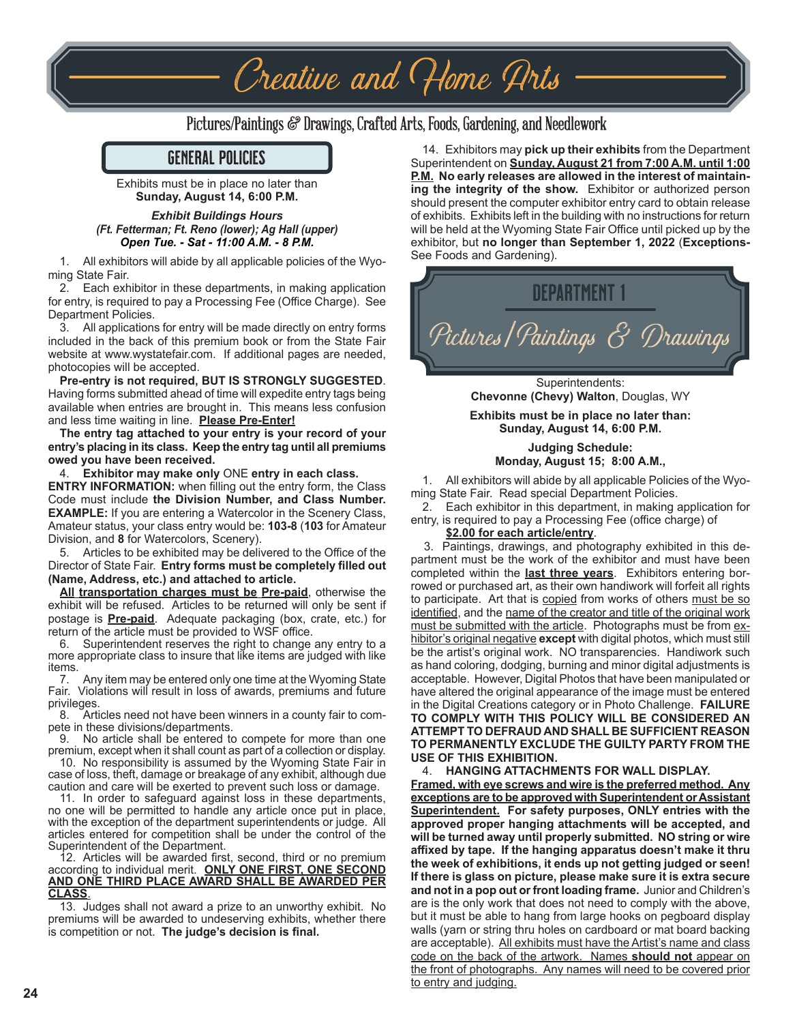## Pictures/Paintings & Drawings, Crafted Arts, Foods, Gardening, and Needlework

Creative and Home Arts

#### GENERAL POLICIES

Exhibits must be in place no later than **Sunday, August 14, 6:00 P.M.**

#### *Exhibit Buildings Hours (Ft. Fetterman; Ft. Reno (lower); Ag Hall (upper) Open Tue. - Sat - 11:00 A.M. - 8 P.M.*

1. All exhibitors will abide by all applicable policies of the Wyoming State Fair.

2. Each exhibitor in these departments, in making application for entry, is required to pay a Processing Fee (Office Charge). See Department Policies.

3. All applications for entry will be made directly on entry forms included in the back of this premium book or from the State Fair website at www.wystatefair.com. If additional pages are needed, photocopies will be accepted.

#### **Pre-entry is not required, BUT IS STRONGLY SUGGESTED**. Having forms submitted ahead of time will expedite entry tags being available when entries are brought in. This means less confusion and less time waiting in line. **Please Pre-Enter!**

**The entry tag attached to your entry is your record of your entry's placing in its class. Keep the entry tag until all premiums owed you have been received.**

4. **Exhibitor may make only** ONE **entry in each class.**

**ENTRY INFORMATION:** when filling out the entry form, the Class Code must include **the Division Number, and Class Number. EXAMPLE:** If you are entering a Watercolor in the Scenery Class, Amateur status, your class entry would be: **103-8** (**103** for Amateur Division, and **8** for Watercolors, Scenery).

5. Articles to be exhibited may be delivered to the Office of the Director of State Fair. **Entry forms must be completely filled out (Name, Address, etc.) and attached to article.**

**All transportation charges must be Pre-paid**, otherwise the exhibit will be refused. Articles to be returned will only be sent if postage is **Pre-paid**. Adequate packaging (box, crate, etc.) for return of the article must be provided to WSF office.

6. Superintendent reserves the right to change any entry to a more appropriate class to insure that like items are judged with like

items.<br>7. Any item may be entered only one time at the Wyoming State Fair. Violations will result in loss of awards, premiums and future privileges.

8. Articles need not have been winners in a county fair to compete in these divisions/departments.

No article shall be entered to compete for more than one premium, except when it shall count as part of a collection or display.

10. No responsibility is assumed by the Wyoming State Fair in case of loss, theft, damage or breakage of any exhibit, although due caution and care will be exerted to prevent such loss or damage.

11. In order to safeguard against loss in these departments, no one will be permitted to handle any article once put in place, with the exception of the department superintendents or judge. All articles entered for competition shall be under the control of the Superintendent of the Department.

12. Articles will be awarded first, second, third or no premium according to individual merit. **ONLY ONE FIRST, ONE SECOND AND ONE THIRD PLACE AWARD SHALL BE AWARDED PER CLASS**.

13. Judges shall not award a prize to an unworthy exhibit. No premiums will be awarded to undeserving exhibits, whether there is competition or not. **The judge's decision is final.**

14. Exhibitors may **pick up their exhibits** from the Department Superintendent on **Sunday, August 21 from 7:00 A.M. until 1:00 P.M. No early releases are allowed in the interest of maintaining the integrity of the show.** Exhibitor or authorized person should present the computer exhibitor entry card to obtain release of exhibits. Exhibits left in the building with no instructions for return will be held at the Wyoming State Fair Office until picked up by the exhibitor, but **no longer than September 1, 2022** (**Exceptions-**See Foods and Gardening).



**Chevonne (Chevy) Walton**, Douglas, WY **Exhibits must be in place no later than:**

**Sunday, August 14, 6:00 P.M.**

#### **Judging Schedule: Monday, August 15; 8:00 A.M.,**

1. All exhibitors will abide by all applicable Policies of the Wyoming State Fair. Read special Department Policies.

2. Each exhibitor in this department, in making application for entry, is required to pay a Processing Fee (office charge) of

#### **\$2.00 for each article/entry**.

 3. Paintings, drawings, and photography exhibited in this department must be the work of the exhibitor and must have been completed within the **last three years**. Exhibitors entering borrowed or purchased art, as their own handiwork will forfeit all rights to participate. Art that is copied from works of others must be so identified, and the name of the creator and title of the original work must be submitted with the article. Photographs must be from exhibitor's original negative **except** with digital photos, which must still be the artist's original work. NO transparencies. Handiwork such as hand coloring, dodging, burning and minor digital adjustments is acceptable. However, Digital Photos that have been manipulated or have altered the original appearance of the image must be entered in the Digital Creations category or in Photo Challenge. **FAILURE TO COMPLY WITH THIS POLICY WILL BE CONSIDERED AN ATTEMPT TO DEFRAUD AND SHALL BE SUFFICIENT REASON TO PERMANENTLY EXCLUDE THE GUILTY PARTY FROM THE USE OF THIS EXHIBITION.** 

4. **HANGING ATTACHMENTS FOR WALL DISPLAY.**

**Framed, with eye screws and wire is the preferred method. Any exceptions are to be approved with Superintendent or Assistant Superintendent. For safety purposes, ONLY entries with the approved proper hanging attachments will be accepted, and will be turned away until properly submitted. NO string or wire affixed by tape. If the hanging apparatus doesn't make it thru the week of exhibitions, it ends up not getting judged or seen! If there is glass on picture, please make sure it is extra secure and not in a pop out or front loading frame.** Junior and Children's are is the only work that does not need to comply with the above, but it must be able to hang from large hooks on pegboard display walls (yarn or string thru holes on cardboard or mat board backing are acceptable). All exhibits must have the Artist's name and class code on the back of the artwork. Names **should not** appear on the front of photographs. Any names will need to be covered prior to entry and judging.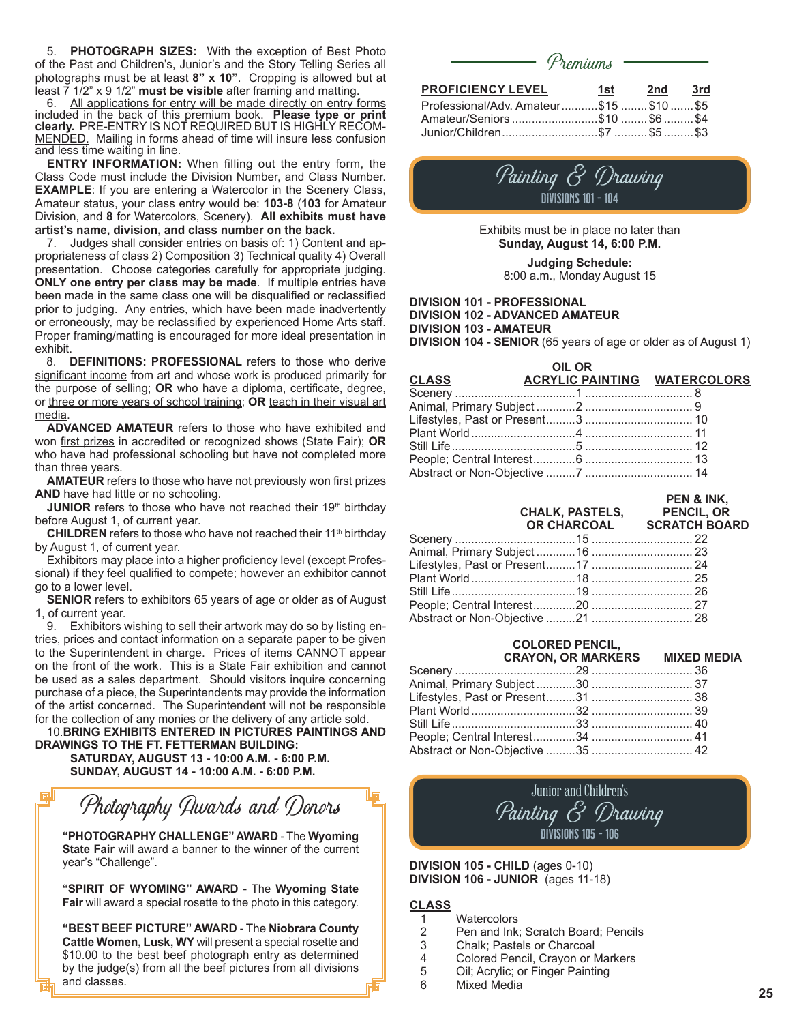5. **PHOTOGRAPH SIZES:** With the exception of Best Photo of the Past and Children's, Junior's and the Story Telling Series all photographs must be at least **8" x 10"**. Cropping is allowed but at least 7 1/2" x 9 1/2" **must be visible** after framing and matting.

6. All applications for entry will be made directly on entry forms included in the back of this premium book. **Please type or print clearly.** PRE-ENTRY IS NOT REQUIRED BUT IS HIGHLY RECOM-MENDED. Mailing in forms ahead of time will insure less confusion and less time waiting in line.

**ENTRY INFORMATION:** When filling out the entry form, the Class Code must include the Division Number, and Class Number. **EXAMPLE**: If you are entering a Watercolor in the Scenery Class, Amateur status, your class entry would be: **103-8** (**103** for Amateur Division, and **8** for Watercolors, Scenery). **All exhibits must have artist's name, division, and class number on the back.**

7. Judges shall consider entries on basis of: 1) Content and appropriateness of class 2) Composition 3) Technical quality 4) Overall presentation. Choose categories carefully for appropriate judging. **ONLY one entry per class may be made**. If multiple entries have been made in the same class one will be disqualified or reclassified prior to judging. Any entries, which have been made inadvertently or erroneously, may be reclassified by experienced Home Arts staff. Proper framing/matting is encouraged for more ideal presentation in exhibit.

8. **DEFINITIONS: PROFESSIONAL** refers to those who derive significant income from art and whose work is produced primarily for the purpose of selling; **OR** who have a diploma, certificate, degree, or three or more years of school training; **OR** teach in their visual art media.

**ADVANCED AMATEUR** refers to those who have exhibited and won first prizes in accredited or recognized shows (State Fair); **OR** who have had professional schooling but have not completed more than three years.

**AMATEUR** refers to those who have not previously won first prizes **AND** have had little or no schooling.

**JUNIOR** refers to those who have not reached their 19<sup>th</sup> birthday before August 1, of current year.

**CHILDREN** refers to those who have not reached their 11<sup>th</sup> birthday by August 1, of current year.

Exhibitors may place into a higher proficiency level (except Professional) if they feel qualified to compete; however an exhibitor cannot go to a lower level.

**SENIOR** refers to exhibitors 65 years of age or older as of August 1, of current year.

9. Exhibitors wishing to sell their artwork may do so by listing entries, prices and contact information on a separate paper to be given to the Superintendent in charge. Prices of items CANNOT appear on the front of the work. This is a State Fair exhibition and cannot be used as a sales department. Should visitors inquire concerning purchase of a piece, the Superintendents may provide the information of the artist concerned. The Superintendent will not be responsible for the collection of any monies or the delivery of any article sold.

10.**BRING EXHIBITS ENTERED IN PICTURES PAINTINGS AND DRAWINGS TO THE FT. FETTERMAN BUILDING:**

 **SATURDAY, AUGUST 13 - 10:00 A.M. - 6:00 P.M. SUNDAY, AUGUST 14 - 10:00 A.M. - 6:00 P.M.**

Photography Awards and Donors

**"PHOTOGRAPHY CHALLENGE" AWARD** - The **Wyoming State Fair** will award a banner to the winner of the current year's "Challenge".

**"SPIRIT OF WYOMING" AWARD** - The **Wyoming State Fair** will award a special rosette to the photo in this category.

**"BEST BEEF PICTURE" AWARD** - The **Niobrara County Cattle Women, Lusk, WY** will present a special rosette and \$10.00 to the best beef photograph entry as determined by the judge(s) from all the beef pictures from all divisions and classes.

|                                        | Premiums —           |     |                |
|----------------------------------------|----------------------|-----|----------------|
| <b>PROFICIENCY LEVEL</b>               | 1st l                | 2nd | 3rd            |
| Professional/Adv. Amateur\$15 \$10 \$5 |                      |     |                |
|                                        | $\sim$ $\sim$ $\sim$ |     | $\overline{a}$ |

|  | Amateur/Seniors \$10 \$6 \$4 |
|--|------------------------------|

|  | Painting & Drawing         |
|--|----------------------------|
|  | <b>DIVISIONS 101 - 104</b> |

Exhibits must be in place no later than **Sunday, August 14, 6:00 P.M.**

**Judging Schedule:** 8:00 a.m., Monday August 15

#### **DIVISION 101 - PROFESSIONAL DIVISION 102 - ADVANCED AMATEUR DIVISION 103 - AMATEUR DIVISION 104 - SENIOR** (65 years of age or older as of August 1)

 **OIL OR CLASS 6 ACRYLIC PAINTING WATERCOLORS** Scenery .....................................1 ................................. 8 Animal, Primary Subject ............2 ................................. 9 Lifestyles, Past or Present.........3 ................................. 10 Plant World................................4 ................................. 11 Still Life......................................5 ................................. 12 People; Central Interest.............6 ................................. 13 Abstract or Non-Objective .........7 ................................. 14

#### **PEN & INK,**

|  | CHALK, PASTELS, PENCIL, OR<br>OR CHARCOAL SCRATCH BOARD |  |
|--|---------------------------------------------------------|--|
|  |                                                         |  |
|  |                                                         |  |
|  |                                                         |  |
|  |                                                         |  |
|  |                                                         |  |
|  |                                                         |  |
|  |                                                         |  |

## **COLORED PENCIL,<br>CRAYON, OR MARKERS**

| <b>CRAYON, OR MARKERS MIXED MEDIA</b> |  |
|---------------------------------------|--|
|                                       |  |
|                                       |  |
|                                       |  |
|                                       |  |
|                                       |  |
|                                       |  |
|                                       |  |
|                                       |  |

### Junior and Children's Painting & Drawing DIVISIONS 105 - 106

#### **DIVISION 105 - CHILD** (ages 0-10) **DIVISION 106 - JUNIOR** (ages 11-18)

#### **CLASS**

- 1 Watercolors<br>2 Pen and Ink
- 2 Pen and Ink; Scratch Board; Pencils<br>3 Chalk: Pastels or Charcoal
- 3 Chalk; Pastels or Charcoal<br>4 Colored Pencil. Cravon or N
- 4 Colored Pencil, Crayon or Markers<br>5 Oil: Acrylic: or Finger Painting
- 5 Oil; Acrylic; or Finger Painting
- 6 Mixed Media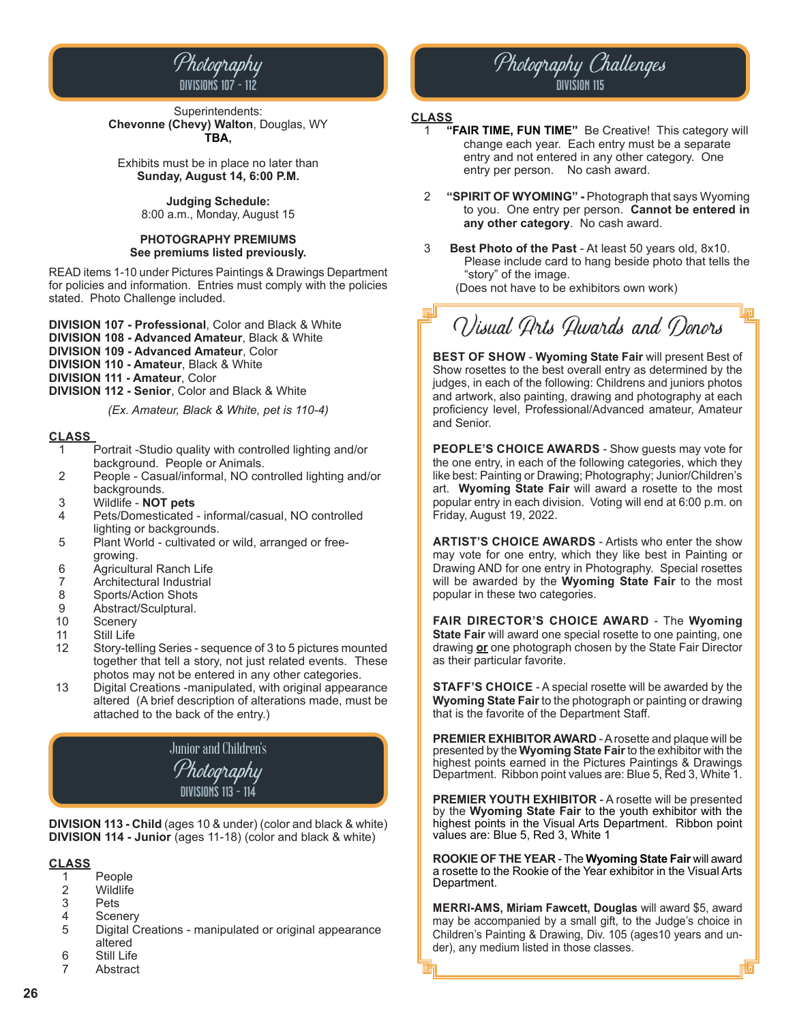

Superintendents: **Chevonne (Chevy) Walton**, Douglas, WY **TBA,**

Exhibits must be in place no later than **Sunday, August 14, 6:00 P.M.**

> **Judging Schedule:** 8:00 a.m., Monday, August 15

#### **PHOTOGRAPHY PREMIUMS See premiums listed previously.**

READ items 1-10 under Pictures Paintings & Drawings Department for policies and information. Entries must comply with the policies stated. Photo Challenge included.

**DIVISION 107 - Professional**, Color and Black & White **DIVISION 108 - Advanced Amateur**, Black & White

**DIVISION 109 - Advanced Amateur**, Color

**DIVISION 110 - Amateur**, Black & White

**DIVISION 111 - Amateur**, Color

**DIVISION 112 - Senior**, Color and Black & White

*(Ex. Amateur, Black & White, pet is 110-4)*

#### **CLASS**

- 1 Portrait -Studio quality with controlled lighting and/or background. People or Animals.
- 2 People Casual/informal, NO controlled lighting and/or backgrounds.
- 3 Wildlife **NOT pets**
- 4 Pets/Domesticated informal/casual, NO controlled lighting or backgrounds.
- 5 Plant World cultivated or wild, arranged or free growing.<br>6 Agricultu
- 6 Agricultural Ranch Life
- 
- 7 Architectural Industrial<br>8 Sports/Action Shots 8 Sports/Action Shots<br>9 Abstract/Sculptural
- 9 Abstract/Sculptural.<br>10 Scenery
- 10 Scenery<br>11 Still Life
- Still Life
- 12 Story-telling Series sequence of 3 to 5 pictures mounted together that tell a story, not just related events. These photos may not be entered in any other categories.<br>13 Digital Creations -manipulated, with original appears
- Digital Creations -manipulated, with original appearance altered (A brief description of alterations made, must be attached to the back of the entry.)

## Junior and Children's Photography DIVISIONS 113 - 114

**DIVISION 113 - Child** (ages 10 & under) (color and black & white) **DIVISION 114 - Junior** (ages 11-18) (color and black & white)

# **CLASS**

- 1 People<br>2 Wildlife
- 2 Wildlife<br>3 Pets
- **Pets**
- 4 Scenery<br>5 Digital C
- 5 Digital Creations manipulated or original appearance altered<br>6 Still Life
- 6 Still Life
- **Abstract**

# Photography Challenges Division 115

#### **CLASS**

- 1 **"FAIR TIME, FUN TIME"** Be Creative! This category will change each year. Each entry must be a separate entry and not entered in any other category. One entry per person. No cash award.
- 2 **"SPIRIT OF WYOMING"** Photograph that says Wyoming to you. One entry per person. **Cannot be entered in any other category**. No cash award.
- 3 **Best Photo of the Past** At least 50 years old, 8x10. Please include card to hang beside photo that tells the "story" of the image.

(Does not have to be exhibitors own work)

# Visual Arts Awards and Donors

**BEST OF SHOW** - **Wyoming State Fair** will present Best of Show rosettes to the best overall entry as determined by the judges, in each of the following: Childrens and juniors photos and artwork, also painting, drawing and photography at each proficiency level, Professional/Advanced amateur, Amateur and Senior.

**PEOPLE'S CHOICE AWARDS** - Show guests may vote for the one entry, in each of the following categories, which they like best: Painting or Drawing; Photography; Junior/Children's art. **Wyoming State Fair** will award a rosette to the most popular entry in each division. Voting will end at 6:00 p.m. on Friday, August 19, 2022.

**ARTIST'S CHOICE AWARDS** - Artists who enter the show may vote for one entry, which they like best in Painting or Drawing AND for one entry in Photography. Special rosettes will be awarded by the **Wyoming State Fair** to the most popular in these two categories.

**FAIR DIRECTOR'S CHOICE AWARD** - The **Wyoming State Fair** will award one special rosette to one painting, one drawing **or** one photograph chosen by the State Fair Director as their particular favorite.

**STAFF'S CHOICE** - A special rosette will be awarded by the **Wyoming State Fair** to the photograph or painting or drawing that is the favorite of the Department Staff.

**PREMIER EXHIBITOR AWARD** - A rosette and plaque will be presented by the **Wyoming State Fair** to the exhibitor with the highest points earned in the Pictures Paintings & Drawings Department. Ribbon point values are: Blue 5, Red 3, White 1.

**PREMIER YOUTH EXHIBITOR** - A rosette will be presented by the **Wyoming State Fair** to the youth exhibitor with the highest points in the Visual Arts Department. Ribbon point values are: Blue 5, Red 3, White 1

**ROOKIE OF THE YEAR** - The **Wyoming State Fair** will award a rosette to the Rookie of the Year exhibitor in the Visual Arts Department.

**MERRI-AMS, Miriam Fawcett, Douglas** will award \$5, award may be accompanied by a small gift, to the Judge's choice in Children's Painting & Drawing, Div. 105 (ages10 years and under), any medium listed in those classes.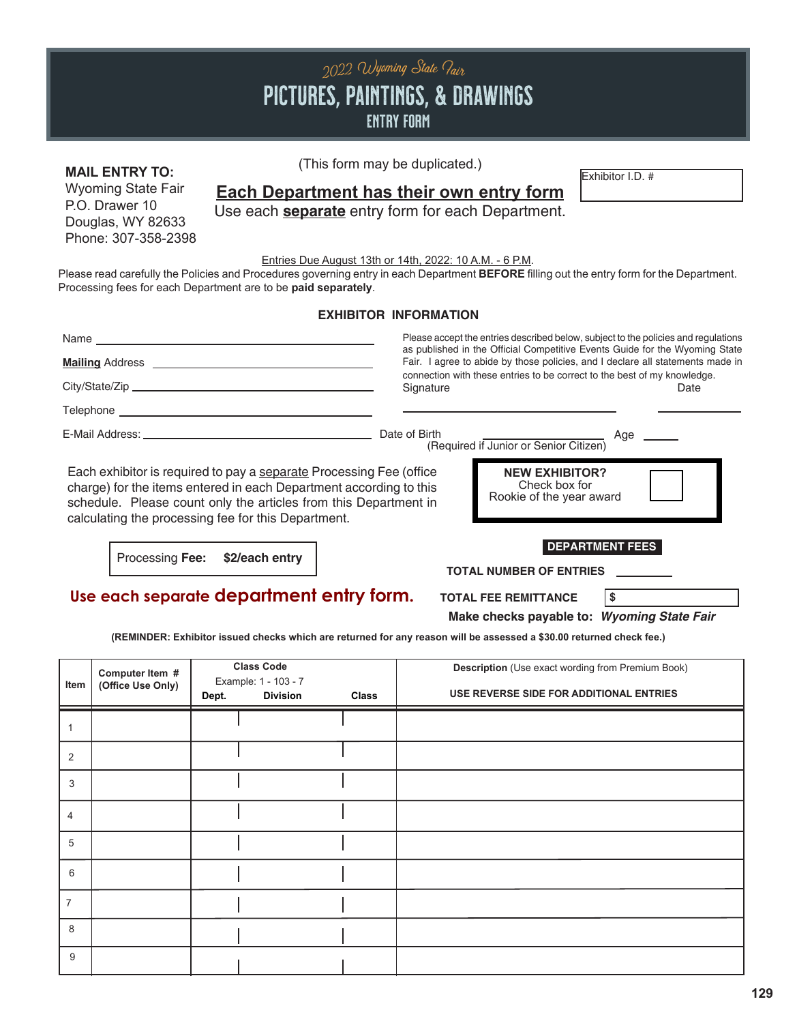# PICTURES, PAINTINGS, & DRAWINGS entry form 2022 Wyoming State Pair

#### **MAIL ENTRY TO:** This form may be depicated.) Wyoming State Fair

P.O. Drawer 10 Douglas, WY 82633 Phone: 307-358-2398 (This form may be duplicated.)

### **Each Department has their own entry form**

Use each **separate** entry form for each Department.

Entries Due August 13th or 14th, 2022: 10 A.M. - 6 P.M.

Please read carefully the Policies and Procedures governing entry in each Department **BEFORE** filling out the entry form for the Department. Processing fees for each Department are to be **paid separately**.

**EXHIBITOR INFORMATION**

|                                                                                                               | LAIILLI VII III VIIILLAI VII                            |                                                                                                                                                               |
|---------------------------------------------------------------------------------------------------------------|---------------------------------------------------------|---------------------------------------------------------------------------------------------------------------------------------------------------------------|
|                                                                                                               |                                                         | Please accept the entries described below, subject to the policies and regulations                                                                            |
|                                                                                                               |                                                         | as published in the Official Competitive Events Guide for the Wyoming State<br>Fair. I agree to abide by those policies, and I declare all statements made in |
|                                                                                                               | Signature                                               | connection with these entries to be correct to the best of my knowledge.<br>Date                                                                              |
|                                                                                                               |                                                         |                                                                                                                                                               |
| E-Mail Address: North and Second Communication of the Communication of the Communication of the Communication | Date of Birth<br>(Required if Junior or Senior Citizen) | Age _____                                                                                                                                                     |
| Each exhibitor is required to pay a separate Processing Fee (office                                           | <b>NEW EXHIBITOR?</b>                                   |                                                                                                                                                               |

charge) for the items entered in each Department according to this schedule. Please count only the articles from this Department in calculating the processing fee for this Department.

Processing **Fee: \$2/each entry**

**DEPARTMENT FEES**

**TOTAL NUMBER OF ENTRIES**

Check box for Rookie of the year award

**Use each separate department entry form.**

**TOTAL FEE REMITTANCE \$**

**Make checks payable to:** *Wyoming State Fair*

**(REMINDER: Exhibitor issued checks which are returned for any reason will be assessed a \$30.00 returned check fee.)**

| Item           | Computer Item #<br>(Office Use Only) | <b>Class Code</b><br>Example: 1 - 103 - 7<br><b>Division</b><br>Dept. | Class | <b>Description</b> (Use exact wording from Premium Book)<br>USE REVERSE SIDE FOR ADDITIONAL ENTRIES |
|----------------|--------------------------------------|-----------------------------------------------------------------------|-------|-----------------------------------------------------------------------------------------------------|
| 1              |                                      |                                                                       |       |                                                                                                     |
| 2              |                                      |                                                                       |       |                                                                                                     |
| 3              |                                      |                                                                       |       |                                                                                                     |
| $\overline{4}$ |                                      |                                                                       |       |                                                                                                     |
| 5              |                                      |                                                                       |       |                                                                                                     |
| 6              |                                      |                                                                       |       |                                                                                                     |
| $\overline{7}$ |                                      |                                                                       |       |                                                                                                     |
| 8              |                                      |                                                                       |       |                                                                                                     |
| 9              |                                      |                                                                       |       |                                                                                                     |